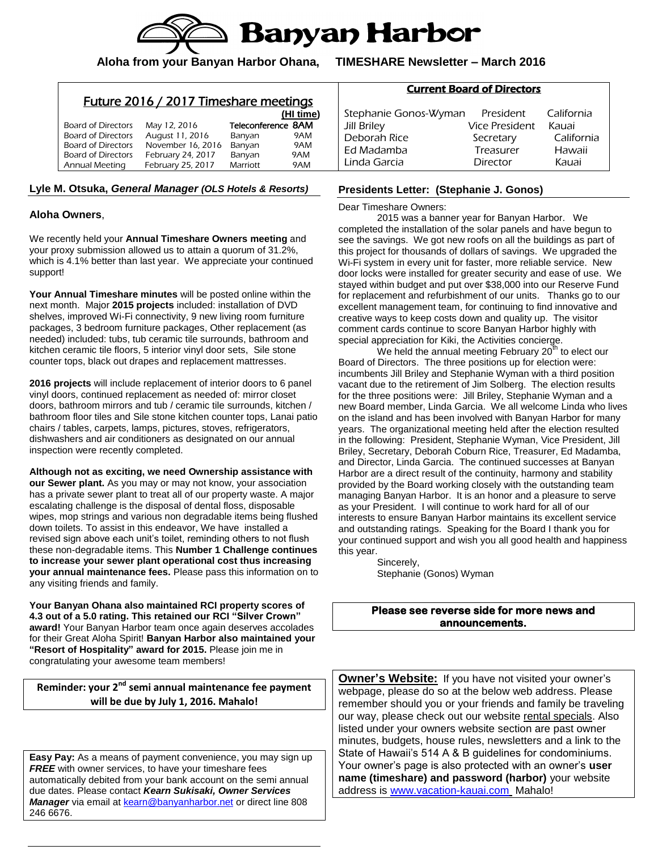

| Future 2016 / 2017 Timeshare meetings |                   |                    |           |  |  |
|---------------------------------------|-------------------|--------------------|-----------|--|--|
|                                       |                   |                    | (HI time) |  |  |
| Board of Directors                    | May 12, 2016      | Teleconference 8AM |           |  |  |
| <b>Board of Directors</b>             | August 11, 2016   | Banyan             | 9AM       |  |  |
| <b>Board of Directors</b>             | November 16, 2016 | Banyan             | 9AM       |  |  |
| <b>Board of Directors</b>             | February 24, 2017 | Banyan             | 9AM       |  |  |
| Annual Meeting                        | February 25, 2017 | Marriott           | 9AM       |  |  |

#### **Lyle M. Otsuka,** *General Manager (OLS Hotels & Resorts)*

#### **Aloha Owners**,

We recently held your **Annual Timeshare Owners meeting** and your proxy submission allowed us to attain a quorum of 31.2%, which is 4.1% better than last year. We appreciate your continued support!

**Your Annual Timeshare minutes** will be posted online within the next month. Major **2015 projects** included: installation of DVD shelves, improved Wi-Fi connectivity, 9 new living room furniture packages, 3 bedroom furniture packages, Other replacement (as needed) included: tubs, tub ceramic tile surrounds, bathroom and kitchen ceramic tile floors, 5 interior vinyl door sets, Sile stone counter tops, black out drapes and replacement mattresses.

**2016 projects** will include replacement of interior doors to 6 panel vinyl doors, continued replacement as needed of: mirror closet doors, bathroom mirrors and tub / ceramic tile surrounds, kitchen / bathroom floor tiles and Sile stone kitchen counter tops, Lanai patio chairs / tables, carpets, lamps, pictures, stoves, refrigerators, dishwashers and air conditioners as designated on our annual inspection were recently completed.

**Although not as exciting, we need Ownership assistance with our Sewer plant.** As you may or may not know, your association has a private sewer plant to treat all of our property waste. A major escalating challenge is the disposal of dental floss, disposable wipes, mop strings and various non degradable items being flushed down toilets. To assist in this endeavor, We have installed a revised sign above each unit's toilet, reminding others to not flush these non-degradable items. This **Number 1 Challenge continues to increase your sewer plant operational cost thus increasing your annual maintenance fees.** Please pass this information on to any visiting friends and family.

**Your Banyan Ohana also maintained RCI property scores of 4.3 out of a 5.0 rating. This retained our RCI "Silver Crown" award!** Your Banyan Harbor team once again deserves accolades for their Great Aloha Spirit! **Banyan Harbor also maintained your "Resort of Hospitality" award for 2015.** Please join me in congratulating your awesome team members!

**Reminder: your 2nd semi annual maintenance fee payment will be due by July 1, 2016. Mahalo!**

**Easy Pay:** As a means of payment convenience, you may sign up **FREE** with owner services, to have your timeshare fees automatically debited from your bank account on the semi annual due dates. Please contact *Kearn Sukisaki, Owner Services Manager* via email at [kearn@banyanharbor.net](mailto:kearn@banyanharbor.net) or direct line 808 246 6676.

**Aloha from your Banyan Harbor Ohana, TIMESHARE Newsletter – March 2016**

| <u>curent board of Bircetors</u> |                |            |  |  |
|----------------------------------|----------------|------------|--|--|
| Stephanie Gonos-Wyman            | President      | California |  |  |
| <b>Jill Briley</b>               | Vice President | Kauai      |  |  |
| Deborah Rice                     | Secretary      | California |  |  |
| Ed Madamba                       | Treasurer      | Hawaii     |  |  |
| Linda Garcia                     | Director       | Kauai      |  |  |
|                                  |                |            |  |  |

Current Board of Directors

#### **Presidents Letter: (Stephanie J. Gonos)**

Dear Timeshare Owners:

2015 was a banner year for Banyan Harbor. We completed the installation of the solar panels and have begun to see the savings. We got new roofs on all the buildings as part of this project for thousands of dollars of savings. We upgraded the Wi-Fi system in every unit for faster, more reliable service. New door locks were installed for greater security and ease of use. We stayed within budget and put over \$38,000 into our Reserve Fund for replacement and refurbishment of our units. Thanks go to our excellent management team, for continuing to find innovative and creative ways to keep costs down and quality up. The visitor comment cards continue to score Banyan Harbor highly with special appreciation for Kiki, the Activities concierge.

We held the annual meeting February  $20<sup>th</sup>$  to elect our Board of Directors. The three positions up for election were: incumbents Jill Briley and Stephanie Wyman with a third position vacant due to the retirement of Jim Solberg. The election results for the three positions were: Jill Briley, Stephanie Wyman and a new Board member, Linda Garcia. We all welcome Linda who lives on the island and has been involved with Banyan Harbor for many years. The organizational meeting held after the election resulted in the following: President, Stephanie Wyman, Vice President, Jill Briley, Secretary, Deborah Coburn Rice, Treasurer, Ed Madamba, and Director, Linda Garcia. The continued successes at Banyan Harbor are a direct result of the continuity, harmony and stability provided by the Board working closely with the outstanding team managing Banyan Harbor. It is an honor and a pleasure to serve as your President. I will continue to work hard for all of our interests to ensure Banyan Harbor maintains its excellent service and outstanding ratings. Speaking for the Board I thank you for your continued support and wish you all good health and happiness this year.

> Sincerely, Stephanie (Gonos) Wyman

#### **Please see reverse side for more news and announcements.**

**Owner's Website:** If you have not visited your owner's webpage, please do so at the below web address. Please remember should you or your friends and family be traveling our way, please check out our website rental specials. Also listed under your owners website section are past owner minutes, budgets, house rules, newsletters and a link to the State of Hawaii's 514 A & B guidelines for condominiums. Your owner's page is also protected with an owner's **user name (timeshare) and password (harbor)** your website address is [www.vacation-kauai.com](http://www.vacation-kauai.com/) Mahalo!